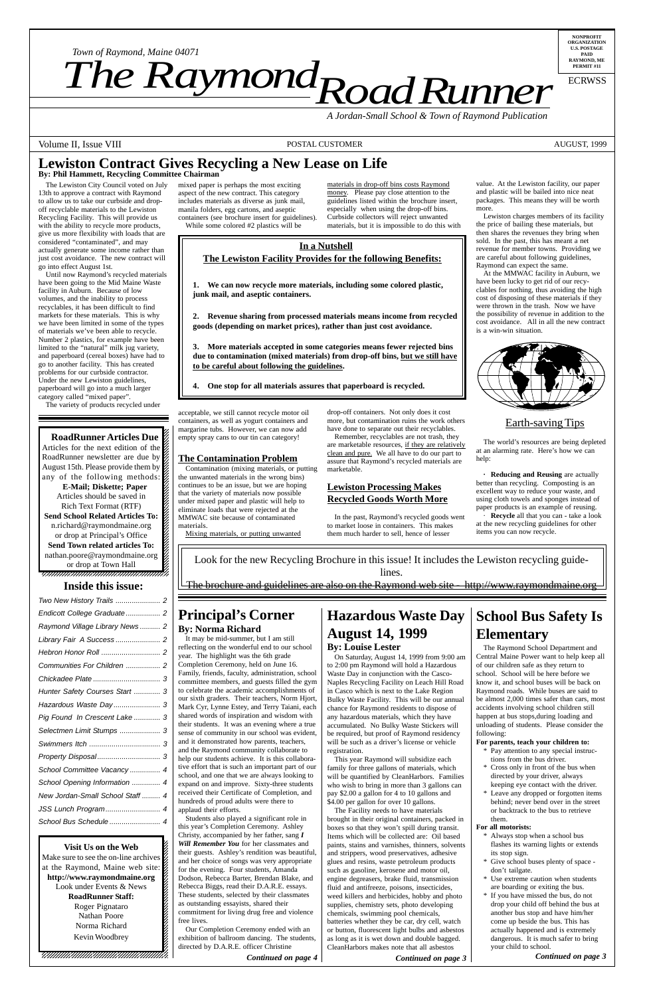12345678901234567890123456789012123456789012345 12345678901234567890123456789012123456789012345 12345678901234567890123456789012123456789012345

#### **RoadRunner Articles Due** 12345678901234567890123456789012123456789012345 Articles for the next edition of the  $\mathbb Z$ RoadRunner newsletter are due by August 15th. Please provide them by any of the following methods: **E-Mail; Diskette; Paper** Articles should be saved in 12345678901234567890123456789012123456789012345 Rich Text Format (RTF) 12345678901234567890123456789012123456789012345 **Send School Related Articles To:** n.richard@raymondmaine.org 12345678901234567890123456789012123456789012345 or drop at Principal's Office  $\mathbb{Z}$ **Send Town related articles To:** nathan.poore@raymondmaine.org or drop at Town Hall

**Visit Us on the Web** 12345678901234567890123456789012123456789012345 Make sure to see the on-line archives  $\mathscr{L}$ at the Raymond, Maine web site:  $\frac{2}{3}$ 12345678901234567890123456789012123456789012345 http://www.raymondmaine.org Look under Events & News  $\frac{2}{3}$  $1235678901234567890123456789012345678901234567890123456789012345678901234567890123456789012345678901234567890123456789012345678901234567890123456789012345678901234567890123456789012345678901234567890123456789012345678901$ **RoadRunner Staff:** Roger Pignataro Nathan Poore 22  $123$ Norma Richard 22  $1235678901234589012345678901234567890123456789012345678901234567890123456789012345678901234567890123456789012345678901234567890123456789012345678901234567890123456789012345678901234567890123456789012345678901234567890123$ Kevin Woodbrey 22  $1$  5  $-$  5  $-$  5  $-$  5  $-$  5  $-$  5  $-$  5  $-$  5  $-$  5  $-$  5  $-$  5  $-$  5  $-$  5  $-$  5  $-$  5  $-$  5  $-$  5  $-$  5  $-$  5  $-$  5  $-$  5  $-$  5  $-$  5  $-$  5  $-$  5  $-$  5  $-$  5  $-$  5  $-$  5  $-$  5  $-$  5  $-$  5  $-$  5  $-$  5  $-$  5  $-$  5  $-$  5  $1235678901234567890123456789012345678901234567890123456789012345678901234567890123456789012345678901234567890123456789012345678901234567890123456789012345678901234567890123456789012345678901234567890123456789012345678901$  $1235678901234567890123456789012345678901234567890123456789012345678901234567890123456789012345678901234567890123456789012345678901234567890123456789012345678901234567890123456789012345678901234567890123456789012345678901$ 12345678901234567890123456789012123456789012345 12345678901234567890123456789012123456789012345 12345678901234567890123456789012123456789012345

12345678901234567890123456789012345678901234567890123456789012345678901234567890123456789012345678901234567890

12345678901234567890123456789012123456789012345

*Road Runner Town of Raymond, Maine 04071*<br>**The Raymond, Department** 

> **Recycle** all that you can - take a look at the new recycling guidelines for other items you can now recycle.

**NONPROFIT ORGANIZATION U.S. POSTAGE PAID RAYMOND, ME PERMIT #11**

*Town of Raymond, Maine 04071*

ECRWSS

*A Jordan-Small School & Town of Raymond Publication*

Volume II, Issue VIII POSTAL CUSTOMER POSTAL CUSTOMER AUGUST, 1999

# **Lewiston Contract Gives Recycling a New Lease on Life**

The Lewiston City Council voted on July 13th to approve a contract with Raymond to allow us to take our curbside and dropoff recyclable materials to the Lewiston Recycling Facility. This will provide us with the ability to recycle more products, give us more flexibility with loads that are considered "contaminated", and may actually generate some income rather than just cost avoidance. The new contract will go into effect August 1st.

Until now Raymond's recycled materials have been going to the Mid Maine Waste facility in Auburn. Because of low volumes, and the inability to process recyclables, it has been difficult to find markets for these materials. This is why we have been limited in some of the types of materials we've been able to recycle. Number 2 plastics, for example have been limited to the "natural" milk jug variety, and paperboard (cereal boxes) have had to go to another facility. This has created problems for our curbside contractor. Under the new Lewiston guidelines, paperboard will go into a much larger category called "mixed paper".

The variety of products recycled under

mixed paper is perhaps the most exciting aspect of the new contract. This category includes materials as diverse as junk mail, manila folders, egg cartons, and aseptic containers (see brochure insert for guidelines). While some colored #2 plastics will be

acceptable, we still cannot recycle motor oil containers, as well as yogurt containers and margarine tubs. However, we can now add empty spray cans to our tin can category!

### **The Contamination Problem**

Contamination (mixing materials, or putting the unwanted materials in the wrong bins) continues to be an issue, but we are hoping that the variety of materials now possible under mixed paper and plastic will help to eliminate loads that were rejected at the MMWAC site because of contaminated materials.

Mixing materials, or putting unwanted

materials in drop-off bins costs Raymond money. Please pay close attention to the guidelines listed within the brochure insert, especially when using the drop-off bins. Curbside collectors will reject unwanted materials, but it is impossible to do this with

drop-off containers. Not only does it cost more, but contamination ruins the work others have done to separate out their recyclables.

| Two New History Trails  2      |
|--------------------------------|
| Endicott College Graduate 2    |
| Raymond Village Library News 2 |
| Library Fair A Success  2      |
|                                |
| Communities For Children  2    |
|                                |
| Hunter Safety Courses Start  3 |
| Hazardous Waste Day 3          |
| Pig Found In Crescent Lake  3  |
|                                |

Remember, recyclables are not trash, they are marketable resources, if they are relatively clean and pure. We all have to do our part to assure that Raymond's recycled materials are marketable.

### **Lewiston Processing Makes Recycled Goods Worth More**

In the past, Raymond's recycled goods went to market loose in containers. This makes them much harder to sell, hence of lesser

value. At the Lewiston facility, our paper and plastic will be bailed into nice neat packages. This means they will be worth more.

Lewiston charges members of its facility the price of bailing these materials, but then shares the revenues they bring when sold. In the past, this has meant a net revenue for member towns. Providing we are careful about following guidelines, Raymond can expect the same.

#### 1 5 12345678901234567890123456789012123456789012345 **Inside this issue:**

At the MMWAC facility in Auburn, we have been lucky to get rid of our recyclables for nothing, thus avoiding the high cost of disposing of these materials if they were thrown in the trash. Now we have the possibility of revenue in addition to the cost avoidance. All in all the new contract is a win-win situation.



### Earth-saving Tips

The world's resources are being depleted at an alarming rate. Here's how we can help:

**· Reducing and Reusing** are actually better than recycling. Composting is an excellent way to reduce your waste, and using cloth towels and sponges instead of paper products is an example of reusing.

Look for the new Recycling Brochure in this issue! It includes the Lewiston recycling guidelines.

The brochure and guidelines are also on the Raymond web site - http://www.raymondmaine.org

# **In a Nutshell The Lewiston Facility Provides for the following Benefits:**

**1. We can now recycle more materials, including some colored plastic, junk mail, and aseptic containers.**

**2. Revenue sharing from processed materials means income from recycled goods (depending on market prices), rather than just cost avoidance.**

**3. More materials accepted in some categories means fewer rejected bins due to contamination (mixed materials) from drop-off bins, but we still have to be careful about following the guidelines.**

**4. One stop for all materials assures that paperboard is recycled.**

### **Principal's Corner By: Norma Richard**

It may be mid-summer, but I am still reflecting on the wonderful end to our school year. The highlight was the 6th grade Completion Ceremony, held on June 16. Family, friends, faculty, administration, school committee members, and guests filled the gym to celebrate the academic accomplishments of our sixth graders. Their teachers, Norm Hjort, Mark Cyr, Lynne Estey, and Terry Taiani, each shared words of inspiration and wisdom with their students. It was an evening where a true sense of community in our school was evident, and it demonstrated how parents, teachers, and the Raymond community collaborate to help our students achieve. It is this collaborative effort that is such an important part of our school, and one that we are always looking to expand on and improve. Sixty-three students received their Certificate of Completion, and hundreds of proud adults were there to applaud their efforts. Students also played a significant role in this year's Completion Ceremony. Ashley Christy, accompanied by her father, sang *I Will Remember You* for her classmates and their guests. Ashley's rendition was beautiful, and her choice of songs was very appropriate for the evening. Four students, Amanda Dodson, Rebecca Barter, Brendan Blake, and Rebecca Biggs, read their D.A.R.E. essays. These students, selected by their classmates as outstanding essayists, shared their commitment for living drug free and violence free lives. Our Completion Ceremony ended with an exhibition of ballroom dancing. The students, directed by D.A.R.E. officer Christine

*Continued on page 4*

# **Hazardous Waste Day August 14, 1999**

### **By: Louise Lester**

On Saturday, August 14, 1999 from 9:00 am to 2:00 pm Raymond will hold a Hazardous Waste Day in conjunction with the Casco-Naples Recycling Facility on Leach Hill Road in Casco which is next to the Lake Region Bulky Waste Facility. This will be our annual chance for Raymond residents to dispose of any hazardous materials, which they have accumulated. No Bulky Waste Stickers will

be required, but proof of Raymond residency will be such as a driver's license or vehicle registration.

This year Raymond will subsidize each family for three gallons of materials, which will be quantified by CleanHarbors. Families who wish to bring in more than 3 gallons can pay \$2.00 a gallon for 4 to 10 gallons and \$4.00 per gallon for over 10 gallons.

The Facility needs to have materials brought in their original containers, packed in boxes so that they won't spill during transit. Items which will be collected are: Oil based paints, stains and varnishes, thinners, solvents and strippers, wood preservatives, adhesive glues and resins, waste petroleum products such as gasoline, kerosene and motor oil, engine degreasers, brake fluid, transmission fluid and antifreeze, poisons, insecticides, weed killers and herbicides, hobby and photo supplies, chemistry sets, photo developing chemicals, swimming pool chemicals, batteries whether they be car, dry cell, watch or button, fluorescent light bulbs and asbestos as long as it is wet down and double bagged. CleanHarbors makes note that all asbestos

*Continued on page 3*

# **School Bus Safety Is Elementary**

The Raymond School Department and Central Maine Power want to help keep all of our children safe as they return to school. School will be here before we know it, and school buses will be back on Raymond roads. While buses are said to be almost 2,000 times safer than cars, most accidents involving school children still happen at bus stops,during loading and unloading of students. Please consider the

following:

#### **For parents, teach your children to:**

- \* Pay attention to any special instructions from the bus driver.
- \* Cross only in front of the bus when directed by your driver, always keeping eye contact with the driver.
- Leave any dropped or forgotten items behind; never bend over in the street or backtrack to the bus to retrieve them.

#### **For all motorists:**

- \* Always stop when a school bus flashes its warning lights or extends its stop sign.
- Give school buses plenty of space don't tailgate.
- Use extreme caution when students are boarding or exiting the bus.
- \* If you have missed the bus, do not drop your child off behind the bus at another bus stop and have him/her come up beside the bus. This has actually happened and is extremely dangerous. It is much safer to bring your child to school.

| Selectmen Limit Stumps  3        |
|----------------------------------|
|                                  |
|                                  |
| School Committee Vacancy  4      |
| School Opening Information  4    |
| New Jordan-Small School Staff  4 |
|                                  |
|                                  |

*Continued on page 3*

**By: Phil Hammett, Recycling Committee Chairman**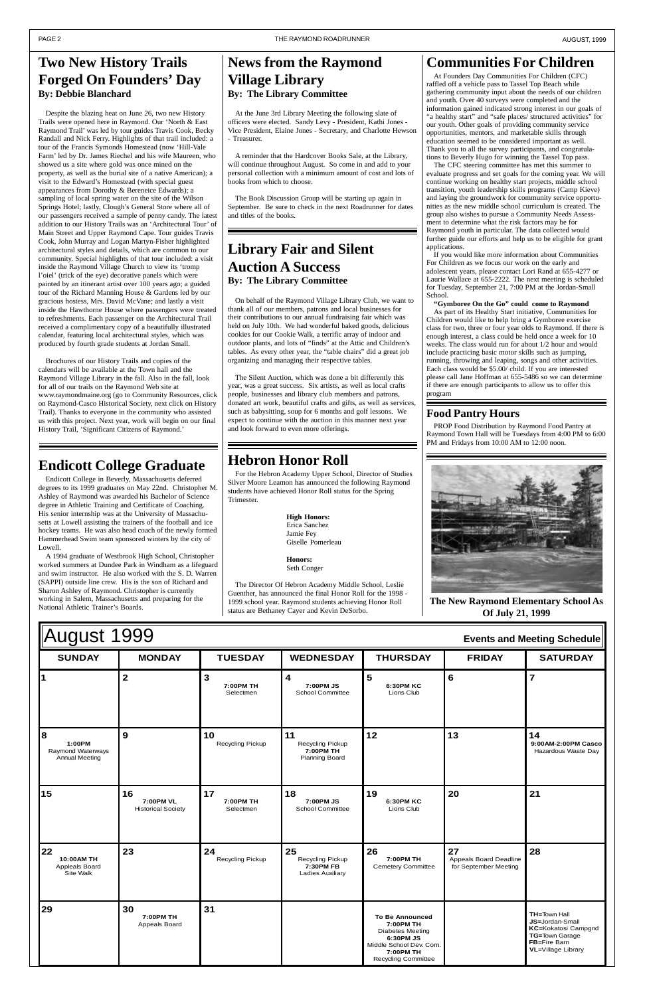| <b>August 1999</b><br><b>Events and Meeting Schedule</b> |               |                        |                                           |                         |               |                 |
|----------------------------------------------------------|---------------|------------------------|-------------------------------------------|-------------------------|---------------|-----------------|
| <b>SUNDAY</b>                                            | <b>MONDAY</b> | <b>TUESDAY</b>         | <b>WEDNESDAY</b>                          | <b>THURSDAY</b>         | <b>FRIDAY</b> | <b>SATURDAY</b> |
|                                                          |               | 7:00PM TH<br>Selectmen | 4<br>7:00PM JS<br><b>School Committee</b> | 6:30PM KC<br>Lions Club | O             |                 |

| 8<br>1:00PM<br>Raymond Waterways<br><b>Annual Meeting</b> | 9                                            | 10<br>Recycling Pickup       | 11<br>Recycling Pickup<br>7:00PM TH<br><b>Planning Board</b>   | 12                                                                                                                                                | 13                                                    | 14<br>9:00AM-2:00PM Casco<br>Hazardous Waste Day                                                                              |
|-----------------------------------------------------------|----------------------------------------------|------------------------------|----------------------------------------------------------------|---------------------------------------------------------------------------------------------------------------------------------------------------|-------------------------------------------------------|-------------------------------------------------------------------------------------------------------------------------------|
| 15                                                        | 16<br>7:00PM VL<br><b>Historical Society</b> | 17<br>7:00PM TH<br>Selectmen | 18<br>7:00PM JS<br>School Committee                            | 19<br>6:30PM KC<br>Lions Club                                                                                                                     | 20                                                    | 21                                                                                                                            |
| 22<br>10:00AM TH<br>Appleals Board<br>Site Walk           | 23                                           | 24<br>Recycling Pickup       | 25<br>Recycling Pickup<br>7:30PM FB<br><b>Ladies Auxiliary</b> | 26<br>7:00PM TH<br><b>Cemetery Committee</b>                                                                                                      | 27<br>Appeals Board Deadline<br>for September Meeting | 28                                                                                                                            |
| 29                                                        | 30<br>7:00PM TH<br>Appeals Board             | 31                           |                                                                | <b>To Be Announced</b><br>7:00PM TH<br><b>Diabetes Meeting</b><br>6:30PM JS<br>Middle School Dev. Com.<br>7:00PM TH<br><b>Recycling Committee</b> |                                                       | <b>TH=Town Hall</b><br>JS=Jordan-Small<br>KC=Kokatosi Campgnd<br>TG=Town Garage<br>FB=Fire Barn<br><b>VL</b> =Village Library |

## **Two New History Trails Forged On Founders' Day By: Debbie Blanchard**

Despite the blazing heat on June 26, two new History Trails were opened here in Raymond. Our 'North & East Raymond Trail' was led by tour guides Travis Cook, Becky Randall and Nick Ferry. Highlights of that trail included: a tour of the Francis Symonds Homestead (now 'Hill-Vale Farm' led by Dr. James Riechel and his wife Maureen, who showed us a site where gold was once mined on the property, as well as the burial site of a native American); a visit to the Edward's Homestead (with special guest appearances from Dorothy & Bereneice Edwards); a sampling of local spring water on the site of the Wilson Springs Hotel; lastly, Clough's General Store where all of our passengers received a sample of penny candy. The latest addition to our History Trails was an 'Architectural Tour' of Main Street and Upper Raymond Cape. Tour guides Travis Cook, John Murray and Logan Martyn-Fisher highlighted architectural styles and details, which are common to our community. Special highlights of that tour included: a visit inside the Raymond Village Church to view its 'tromp l'oiel' (trick of the eye) decorative panels which were painted by an itinerant artist over 100 years ago; a guided tour of the Richard Manning House & Gardens led by our gracious hostess, Mrs. David McVane; and lastly a visit inside the Hawthorne House where passengers were treated to refreshments. Each passenger on the Architectural Trail received a complimentary copy of a beautifully illustrated calendar, featuring local architectural styles, which was produced by fourth grade students at Jordan Small.

Brochures of our History Trails and copies of the calendars will be available at the Town hall and the Raymond Village Library in the fall. Also in the fall, look for all of our trails on the Raymond Web site at www.raymondmaine.org (go to Community Resources, click on Raymond-Casco Historical Society, next click on History Trail). Thanks to everyone in the community who assisted us with this project. Next year, work will begin on our final History Trail, 'Significant Citizens of Raymond.'

## **News from the Raymond Village Library By: The Library Committee**

At the June 3rd Library Meeting the following slate of officers were elected. Sandy Levy - President, Kathi Jones - Vice President, Elaine Jones - Secretary, and Charlotte Hewson - Treasurer.

A reminder that the Hardcover Books Sale, at the Library, will continue throughout August. So come in and add to your personal collection with a minimum amount of cost and lots of books from which to choose.

The Book Discussion Group will be starting up again in September. Be sure to check in the next Roadrunner for dates and titles of the books.

## **Library Fair and Silent Auction A Success By: The Library Committee**

On behalf of the Raymond Village Library Club, we want to thank all of our members, patrons and local businesses for their contributions to our annual fundraising fair which was held on July 10th. We had wonderful baked goods, delicious cookies for our Cookie Walk, a terrific array of indoor and outdoor plants, and lots of "finds" at the Attic and Children's tables. As every other year, the "table chairs" did a great job organizing and managing their respective tables.

> PROP Food Distribution by Raymond Food Pantry at Raymond Town Hall will be Tuesdays from 4:00 PM to 6:00 PM and Fridays from 10:00 AM to 12:00 noon.

The Silent Auction, which was done a bit differently this year, was a great success. Six artists, as well as local crafts people, businesses and library club members and patrons, donated art work, beautiful crafts and gifts, as well as services, such as babysitting, soup for 6 months and golf lessons. We expect to continue with the auction in this manner next year and look forward to even more offerings.

## **Communities For Children**

At Founders Day Communities For Children (CFC) raffled off a vehicle pass to Tassel Top Beach while gathering community input about the needs of our children and youth. Over 40 surveys were completed and the information gained indicated strong interest in our goals of "a healthy start" and "safe places/ structured activities" for our youth. Other goals of providing community service opportunities, mentors, and marketable skills through education seemed to be considered important as well. Thank you to all the survey participants, and congratulations to Beverly Hugo for winning the Tassel Top pass.

The CFC steering committee has met this summer to evaluate progress and set goals for the coming year. We will continue working on healthy start projects, middle school transition, youth leadership skills programs (Camp Kieve) and laying the groundwork for community service opportunities as the new middle school curriculum is created. The group also wishes to pursue a Community Needs Assessment to determine what the risk factors may be for Raymond youth in particular. The data collected would further guide our efforts and help us to be eligible for grant applications.

If you would like more information about Communities For Children as we focus our work on the early and adolescent years, please contact Lori Rand at 655-4277 or Laurie Wallace at 655-2222. The next meeting is scheduled for Tuesday, September 21, 7:00 PM at the Jordan-Small School.

**"Gymboree On the Go" could come to Raymond** As part of its Healthy Start initiative, Communities for Children would like to help bring a Gymboree exercise class for two, three or four year olds to Raymond. If there is enough interest, a class could be held once a week for 10 weeks. The class would run for about 1/2 hour and would include practicing basic motor skills such as jumping, running, throwing and leaping, songs and other activities. Each class would be \$5.00/ child. If you are interested please call Jane Hoffman at 655-5486 so we can determine if there are enough participants to allow us to offer this program

# **Endicott College Graduate**

Endicott College in Beverly, Massachusetts deferred degrees to its 1999 graduates on May 22nd. Christopher M. Ashley of Raymond was awarded his Bachelor of Science degree in Athletic Training and Certificate of Coaching. His senior internship was at the University of Massachusetts at Lowell assisting the trainers of the football and ice hockey teams. He was also head coach of the newly formed Hammerhead Swim team sponsored winters by the city of Lowell.

A 1994 graduate of Westbrook High School, Christopher worked summers at Dundee Park in Windham as a lifeguard and swim instructor. He also worked with the S. D. Warren (SAPPI) outside line crew. His is the son of Richard and Sharon Ashley of Raymond. Christopher is currently working in Salem, Massachusetts and preparing for the National Athletic Trainer's Boards.

# **Hebron Honor Roll**

For the Hebron Academy Upper School, Director of Studies Silver Moore Leamon has announced the following Raymond students have achieved Honor Roll status for the Spring Trimester.

> **High Honors:** Erica Sanchez Jamie Fey Giselle Pomerleau

**Honors:** Seth Conger

The Director Of Hebron Academy Middle School, Leslie Guenther, has announced the final Honor Roll for the 1998 - 1999 school year. Raymond students achieving Honor Roll status are Bethaney Cayer and Kevin DeSorbo.



**The New Raymond Elementary School As Of July 21, 1999**

### **Food Pantry Hours**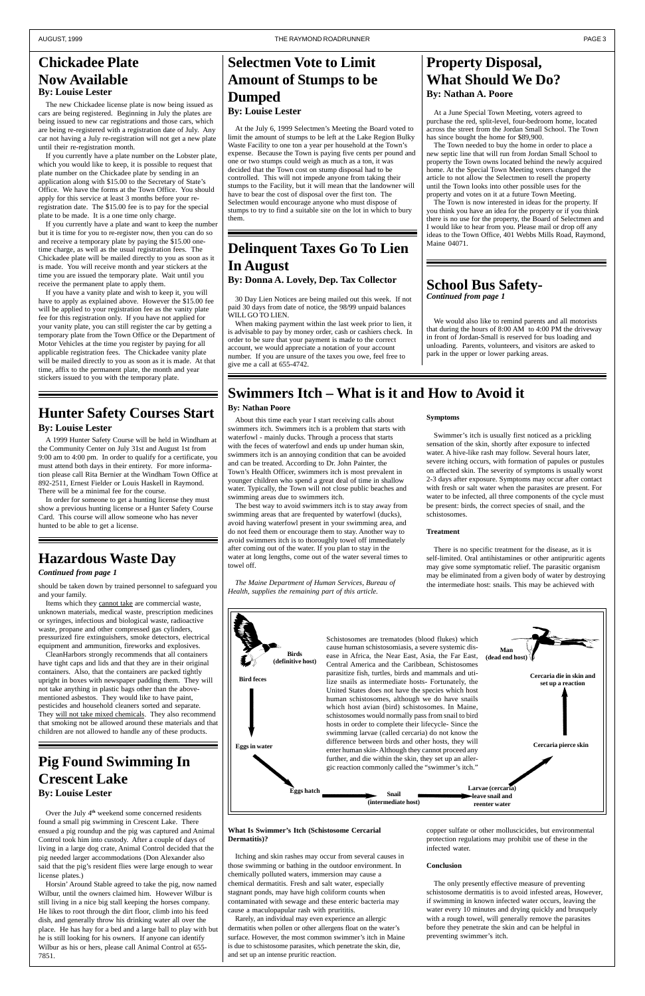## **Swimmers Itch – What is it and How to Avoid it**

### **By: Nathan Poore**

About this time each year I start receiving calls about swimmers itch. Swimmers itch is a problem that starts with waterfowl - mainly ducks. Through a process that starts with the feces of waterfowl and ends up under human skin, swimmers itch is an annoying condition that can be avoided and can be treated. According to Dr. John Painter, the Town's Health Officer, swimmers itch is most prevalent in younger children who spend a great deal of time in shallow water. Typically, the Town will not close public beaches and swimming areas due to swimmers itch.

The best way to avoid swimmers itch is to stay away from swimming areas that are frequented by waterfowl (ducks), avoid having waterfowl present in your swimming area, and do not feed them or encourage them to stay. Another way to avoid swimmers itch is to thoroughly towel off immediately after coming out of the water. If you plan to stay in the water at long lengths, come out of the water several times to towel off.

*The Maine Department of Human Services, Bureau of Health, supplies the remaining part of this article.*

#### **What Is Swimmer's Itch (Schistosome Cercarial Dermatitis)?**

Itching and skin rashes may occur from several causes in those swimming or bathing in the outdoor environment. In chemically polluted waters, immersion may cause a chemical dermatitis. Fresh and salt water, especially stagnant ponds, may have high coliform counts when contaminated with sewage and these enteric bacteria may cause a maculopapular rash with prurititis.

Rarely, an individual may even experience an allergic dermatitis when pollen or other allergens float on the water's surface. However, the most common swimmer's itch in Maine is due to schistosome parasites, which penetrate the skin, die, and set up an intense pruritic reaction.

#### **Symptoms**

Swimmer's itch is usually first noticed as a prickling sensation of the skin, shortly after exposure to infected water. A hive-like rash may follow. Several hours later, severe itching occurs, with formation of papules or pustules on affected skin. The severity of symptoms is usually worst 2-3 days after exposure. Symptoms may occur after contact with fresh or salt water when the parasites are present. For water to be infected, all three components of the cycle must be present: birds, the correct species of snail, and the schistosomes.

#### **Treatment**

There is no specific treatment for the disease, as it is self-limited. Oral antihistamines or other antipruritic agents may give some symptomatic relief. The parasitic organism may be eliminated from a given body of water by destroying the intermediate host: snails. This may be achieved with

copper sulfate or other molluscicides, but environmental protection regulations may prohibit use of these in the infected water.

#### **Conclusion**

CleanHarbors strongly recommends that all containers have tight caps and lids and that they are in their original containers. Also, that the containers are packed tightly upright in boxes with newspaper padding them. They will not take anything in plastic bags other than the abovementioned asbestos. They would like to have paint, pesticides and household cleaners sorted and separate. They will not take mixed chemicals. They also recommend that smoking not be allowed around these materials and that ildren are not allowed to handle any of these products.

> The only presently effective measure of preventing schistosome dermatitis is to avoid infested areas, However, if swimming in known infected water occurs, leaving the water every 10 minutes and drying quickly and brusquely with a rough towel, will generally remove the parasites before they penetrate the skin and can be helpful in preventing swimmer's itch.

Schistosomes are trematodes (blood flukes) which cause human schistosomiasis, a severe systemic disease in Africa, the Near East, Asia, the Far East, **(dead end host)** Central America and the Caribbean, Schistosomes parasitize fish, turtles, birds and mammals and utilize snails as intermediate hosts- Fortunately, the United States does not have the species which host human schistosomes, although we do have snails which host avian (bird) schistosomes. In Maine, schistosomes would normally pass from snail to bird hosts in order to complete their lifecycle- Since the





**Cercaria die in skin and set up a reaction**

## **Selectmen Vote to Limit Amount of Stumps to be Dumped By: Louise Lester**

At the July 6, 1999 Selectmen's Meeting the Board voted to limit the amount of stumps to be left at the Lake Region Bulky Waste Facility to one ton a year per household at the Town's expense. Because the Town is paying five cents per pound and one or two stumps could weigh as much as a ton, it was decided that the Town cost on stump disposal had to be controlled. This will not impede anyone from taking their stumps to the Facility, but it will mean that the landowner will have to bear the cost of disposal over the first ton. The Selectmen would encourage anyone who must dispose of stumps to try to find a suitable site on the lot in which to bury them.

## **Delinquent Taxes Go To Lien In August By: Donna A. Lovely, Dep. Tax Collector**

30 Day Lien Notices are being mailed out this week. If not paid 30 days from date of notice, the 98/99 unpaid balances WILL GO TO LIEN.

When making payment within the last week prior to lien, it is advisable to pay by money order, cash or cashiers check. In order to be sure that your payment is made to the correct account, we would appreciate a notation of your account number. If you are unsure of the taxes you owe, feel free to give me a call at 655-4742.

should be taken down by trained personnel to safeguard you and your family.

Items which they cannot take are commercial waste, unknown materials, medical waste, prescription medicines or syringes, infectious and biological waste, radioactive waste, propane and other compressed gas cylinders, pressurized fire extinguishers, smoke detectors, electrical equipment and ammunition, fireworks and explosives.

### **Chickadee Plate Now Available By: Louise Lester**

### **Hazardous Waste Day**

#### *Continued from page 1*

### **Property Disposal, What Should We Do? By: Nathan A. Poore**

At a June Special Town Meeting, voters agreed to purchase the red, split-level, four-bedroom home, located across the street from the Jordan Small School. The Town has since bought the home for \$89,900.

The Town needed to buy the home in order to place a new septic line that will run from Jordan Small School to property the Town owns located behind the newly acquired home. At the Special Town Meeting voters changed the article to not allow the Selectmen to resell the property until the Town looks into other possible uses for the property and votes on it at a future Town Meeting.

The Town is now interested in ideas for the property. If you think you have an idea for the property or if you think there is no use for the property, the Board of Selectmen and I would like to hear from you. Please mail or drop off any ideas to the Town Office, 401 Webbs Mills Road, Raymond, Maine 04071.

### **Hunter Safety Courses Start By: Louise Lester**

# **Pig Found Swimming In Crescent Lake By: Louise Lester**



Over the July 4**th** weekend some concerned residents found a small pig swimming in Crescent Lake. There ensued a pig roundup and the pig was captured and Animal Control took him into custody. After a couple of days of living in a large dog crate, Animal Control decided that the pig needed larger accommodations (Don Alexander also said that the pig's resident flies were large enough to wear license plates.)

Horsin' Around Stable agreed to take the pig, now named Wilbur, until the owners claimed him. However Wilbur is still living in a nice big stall keeping the horses company. He likes to root through the dirt floor, climb into his feed dish, and generally throw his drinking water all over the place. He has hay for a bed and a large ball to play with but he is still looking for his owners. If anyone can identify Wilbur as his or hers, please call Animal Control at 655- 7851.

We would also like to remind parents and all motorists that during the hours of 8:00 AM to 4:00 PM the driveway in front of Jordan-Small is reserved for bus loading and unloading. Parents, volunteers, and visitors are asked to park in the upper or lower parking areas.

### **School Bus Safety-***Continued from page 1*

The new Chickadee license plate is now being issued as cars are being registered. Beginning in July the plates are being issued to new car registrations and those cars, which are being re-registered with a registration date of July. Any car not having a July re-registration will not get a new plate until their re-registration month.

If you currently have a plate number on the Lobster plate, which you would like to keep, it is possible to request that plate number on the Chickadee plate by sending in an application along with \$15.00 to the Secretary of State's Office. We have the forms at the Town Office. You should apply for this service at least 3 months before your reregistration date. The \$15.00 fee is to pay for the special plate to be made. It is a one time only charge.

If you currently have a plate and want to keep the number but it is time for you to re-register now, then you can do so and receive a temporary plate by paying the \$15.00 onetime charge, as well as the usual registration fees. The Chickadee plate will be mailed directly to you as soon as it is made. You will receive month and year stickers at the time you are issued the temporary plate. Wait until you receive the permanent plate to apply them.

If you have a vanity plate and wish to keep it, you will have to apply as explained above. However the \$15.00 fee will be applied to your registration fee as the vanity plate fee for this registration only. If you have not applied for your vanity plate, you can still register the car by getting a temporary plate from the Town Office or the Department of Motor Vehicles at the time you register by paying for all applicable registration fees. The Chickadee vanity plate will be mailed directly to you as soon as it is made. At that time, affix to the permanent plate, the month and year stickers issued to you with the temporary plate.

A 1999 Hunter Safety Course will be held in Windham at the Community Center on July 31st and August 1st from 9:00 am to 4:00 pm. In order to qualify for a certificate, you must attend both days in their entirety. For more information please call Rita Bernier at the Windham Town Office at 892-2511, Ernest Fielder or Louis Haskell in Raymond. There will be a minimal fee for the course.

In order for someone to get a hunting license they must show a previous hunting license or a Hunter Safety Course Card. This course will allow someone who has never hunted to be able to get a license.